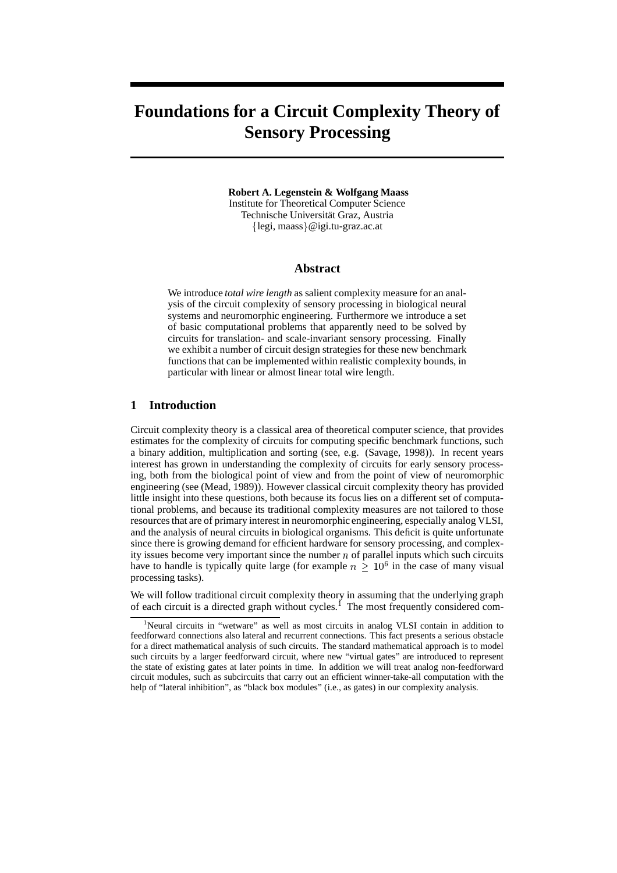# **Foundations for a Circuit Complexity Theory of Sensory Processing**

#### **Robert A. Legenstein & Wolfgang Maass**

Institute for Theoretical Computer Science Technische Universität Graz, Austria legi, maass @igi.tu-graz.ac.at

#### **Abstract**

We introduce *total wire length* as salient complexity measure for an analysis of the circuit complexity of sensory processing in biological neural systems and neuromorphic engineering. Furthermore we introduce a set of basic computational problems that apparently need to be solved by circuits for translation- and scale-invariant sensory processing. Finally we exhibit a number of circuit design strategies for these new benchmark functions that can be implemented within realistic complexity bounds, in particular with linear or almost linear total wire length.

### **1 Introduction**

Circuit complexity theory is a classical area of theoretical computer science, that provides estimates for the complexity of circuits for computing specific benchmark functions, such a binary addition, multiplication and sorting (see, e.g. (Savage, 1998)). In recent years interest has grown in understanding the complexity of circuits for early sensory processing, both from the biological point of view and from the point of view of neuromorphic engineering (see (Mead, 1989)). However classical circuit complexity theory has provided little insight into these questions, both because its focus lies on a different set of computational problems, and because its traditional complexity measures are not tailored to those resourcesthat are of primary interest in neuromorphic engineering, especially analog VLSI, and the analysis of neural circuits in biological organisms. This deficit is quite unfortunate since there is growing demand for efficient hardware for sensory processing, and complexity issues become very important since the number  $n$  of parallel inputs which such circuits have to handle is typically quite large (for example  $n \geq 10^6$  in the case of many visual processing tasks).

We will follow traditional circuit complexity theory in assuming that the underlying graph of each circuit is a directed graph without cycles.<sup>1</sup> The most frequently considered com-

<sup>&</sup>lt;sup>1</sup>Neural circuits in "wetware" as well as most circuits in analog VLSI contain in addition to feedforward connections also lateral and recurrent connections. This fact presents a serious obstacle for a direct mathematical analysis of such circuits. The standard mathematical approach is to model such circuits by a larger feedforward circuit, where new "virtual gates" are introduced to represent the state of existing gates at later points in time. In addition we will treat analog non-feedforward circuit modules, such as subcircuits that carry out an efficient winner-take-all computation with the help of "lateral inhibition", as "black box modules" (i.e., as gates) in our complexity analysis.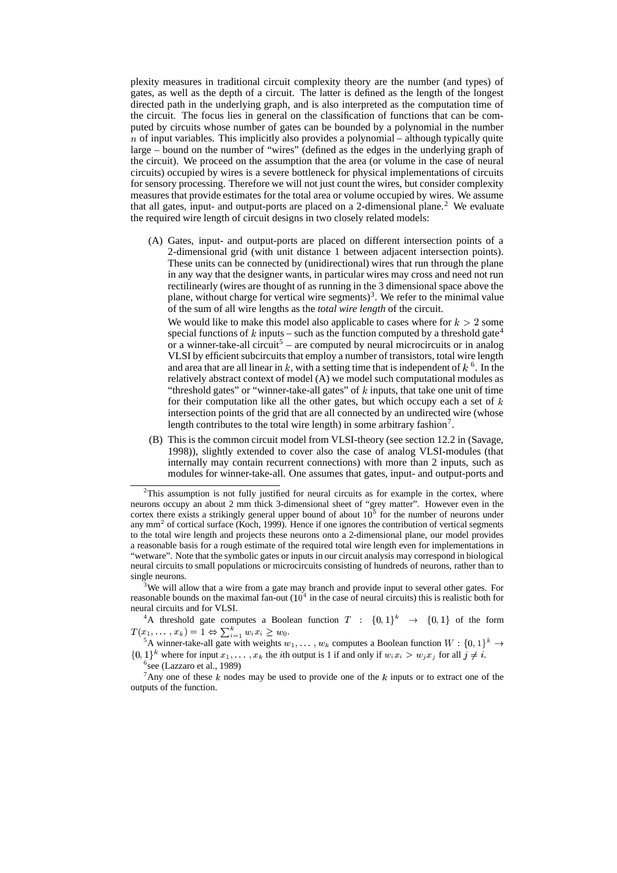plexity measures in traditional circuit complexity theory are the number (and types) of gates, as well as the depth of a circuit. The latter is defined as the length of the longest directed path in the underlying graph, and is also interpreted as the computation time of the circuit. The focus lies in general on the classification of functions that can be computed by circuits whose number of gates can be bounded by a polynomial in the number  $n$  of input variables. This implicitly also provides a polynomial – although typically quite large – bound on the number of "wires" (defined as the edges in the underlying graph of the circuit). We proceed on the assumption that the area (or volume in the case of neural circuits) occupied by wires is a severe bottleneck for physical implementations of circuits for sensory processing. Therefore we will not just count the wires, but consider complexity measures that provide estimates for the total area or volume occupied by wires. We assume that all gates, input- and output-ports are placed on a 2-dimensional plane.<sup>2</sup> We evaluate the required wire length of circuit designs in two closely related models:

(A) Gates, input- and output-ports are placed on different intersection points of a 2-dimensional grid (with unit distance 1 between adjacent intersection points). These units can be connected by (unidirectional) wires that run through the plane in any way that the designer wants, in particular wires may cross and need not run rectilinearly (wires are thought of as running in the 3 dimensional space above the plane, without charge for vertical wire segments)<sup>3</sup>. We refer to the minimal value of the sum of all wire lengths as the *total wire length* of the circuit.

We would like to make this model also applicable to cases where for  $k > 2$  some special functions of  $k$  inputs – such as the function computed by a threshold gate<sup>4</sup> or a winner-take-all circuit<sup>5</sup> – are computed by neural microcircuits or in analog VLSI by efficient subcircuits that employ a number of transistors, total wire length and area that are all linear in  $k$ , with a setting time that is independent of  $k<sup>6</sup>$ . In the relatively abstract context of model (A) we model such computational modules as "threshold gates" or "winner-take-all gates" of  $k$  inputs, that take one unit of time for their computation like all the other gates, but which occupy each a set of  $k$ intersection points of the grid that are all connected by an undirected wire (whose length contributes to the total wire length) in some arbitrary fashion<sup>7</sup>.

(B) This is the common circuit model from VLSI-theory (see section 12.2 in (Savage, 1998)), slightly extended to cover also the case of analog VLSI-modules (that internally may contain recurrent connections) with more than 2 inputs, such as modules for winner-take-all. One assumes that gates, input- and output-ports and

<sup>3</sup>We will allow that a wire from a gate may branch and provide input to several other gates. For reasonable bounds on the maximal fan-out  $(10^4$  in the case of neural circuits) this is realistic both for neural circuits and for VLSI.

<sup>4</sup>A threshold gate computes a Boolean function  $T : \{0,1\}^k \rightarrow \{0,1\}$  of the form  $T(x_1,\ldots,x_k) = 1 \Leftrightarrow \sum_{i=1}^k w_i x_i \geq w_0.$ 

<sup>5</sup>A winner-take-all gate with weights  $w_1, \ldots, w_k$  computes a Boolean function  $W : \{0, 1\}^k \to$  $\{0, 1\}^k$  where for input  $x_1, \ldots, x_k$  the *i*th output is 1 if and only if  $w_i x_i > w_j x_j$  for all  $j \neq i$ .

<sup>7</sup>Any one of these  $k$  nodes may be used to provide one of the  $k$  inputs or to extract one of the outputs of the function.

 $2$ This assumption is not fully justified for neural circuits as for example in the cortex, where neurons occupy an about 2 mm thick 3-dimensional sheet of "grey matter". However even in the cortex there exists a strikingly general upper bound of about  $10<sup>5</sup>$  for the number of neurons under any  $mm<sup>2</sup>$  of cortical surface (Koch, 1999). Hence if one ignores the contribution of vertical segments to the total wire length and projects these neurons onto a 2-dimensional plane, our model provides a reasonable basis for a rough estimate of the required total wire length even for implementations in "wetware". Note that the symbolic gates or inputs in our circuit analysis may correspond in biological neural circuits to small populations or microcircuits consisting of hundreds of neurons, rather than to single neurons.

<sup>6</sup> see (Lazzaro et al., 1989)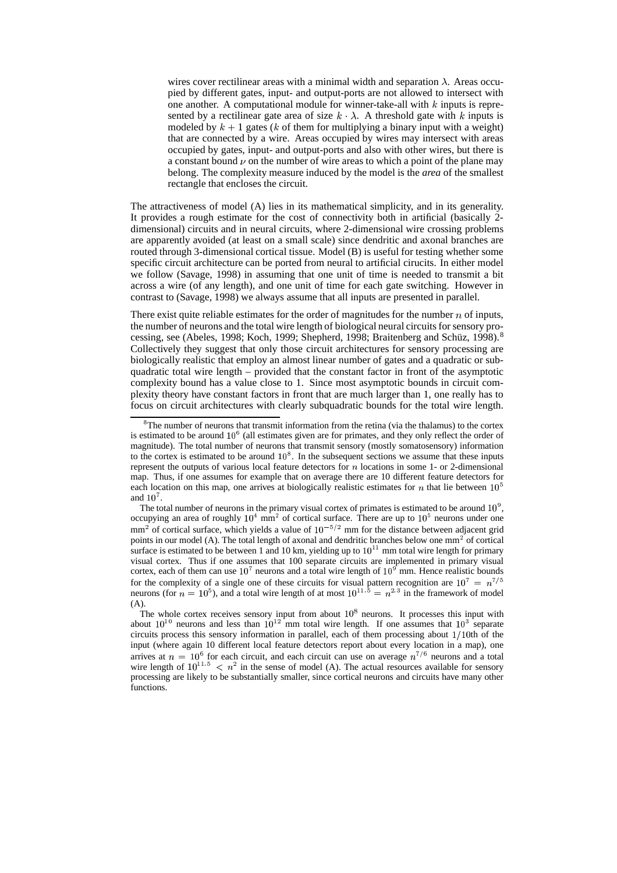wires cover rectilinear areas with a minimal width and separation  $\lambda$ . Areas occupied by different gates, input- and output-ports are not allowed to intersect with one another. A computational module for winner-take-all with  $k$  inputs is represented by a rectilinear gate area of size  $k \lambda$ . A threshold gate with k inputs is modeled by  $k + 1$  gates (k of them for multiplying a binary input with a weight) that are connected by a wire. Areas occupied by wires may intersect with areas occupied by gates, input- and output-ports and also with other wires, but there is a constant bound  $\nu$  on the number of wire areas to which a point of the plane may belong. The complexity measure induced by the model is the *area* of the smallest rectangle that encloses the circuit.

The attractiveness of model (A) lies in its mathematical simplicity, and in its generality. It provides a rough estimate for the cost of connectivity both in artificial (basically 2 dimensional) circuits and in neural circuits, where 2-dimensional wire crossing problems are apparently avoided (at least on a small scale) since dendritic and axonal branches are routed through 3-dimensional cortical tissue. Model (B) is useful for testing whether some specific circuit architecture can be ported from neural to artificial cirucits. In either model we follow (Savage, 1998) in assuming that one unit of time is needed to transmit a bit across a wire (of any length), and one unit of time for each gate switching. However in contrast to (Savage, 1998) we always assume that all inputs are presented in parallel.

There exist quite reliable estimates for the order of magnitudes for the number  $n$  of inputs, the number of neurons and the total wire length of biological neural circuits for sensory processing, see (Abeles, 1998; Koch, 1999; Shepherd, 1998; Braitenberg and Schüz, 1998).<sup>8</sup> Collectively they suggest that only those circuit architectures for sensory processing are biologically realistic that employ an almost linear number of gates and a quadratic or subquadratic total wire length – provided that the constant factor in front of the asymptotic complexity bound has a value close to 1. Since most asymptotic bounds in circuit complexity theory have constant factors in front that are much larger than 1, one really has to focus on circuit architectures with clearly subquadratic bounds for the total wire length.

The total number of neurons in the primary visual cortex of primates is estimated to be around  $10<sup>9</sup>$ , occupying an area of roughly  $10^4$  mm<sup>2</sup> of cortical surface. There are up to  $10^5$  neurons under one  $mm<sup>2</sup>$  of cortical surface, which yields a value of  $10<sup>-5/2</sup>$  mm for the distance between adjacent grid points in our model (A). The total length of axonal and dendritic branches below one mm<sup>2</sup> of cortical surface is estimated to be between 1 and 10 km, yielding up to  $10^{11}$  mm total wire length for primary visual cortex. Thus if one assumes that 100 separate circuits are implemented in primary visual cortex, each of them can use  $10^7$  neurons and a total wire length of  $10^9$  mm. Hence realistic bounds for the complexity of a single one of these circuits for visual pattern recognition are  $10^7 = n^{7/5}$  neurons (for  $n = 10^5$ ), and a total wire length of at most  $10^{11.5} = n^{2.3}$  in the framework of model (A).

The whole cortex receives sensory input from about  $10<sup>8</sup>$  neurons. It processes this input with about  $10^{10}$  neurons and less than  $10^{12}$  mm total wire length. If one assumes that  $10^3$  separate circuits process this sensory information in parallel, each of them processing about  $1/10$ th of the input (where again 10 different local feature detectors report about every location in a map), one arrives at  $n = 10^6$  for each circuit, and each circuit can use on average  $n^{7/6}$  neurons and a total wire length of  $10^{11.5} < n^2$  in the sense of model (A). The actual resources available for sensory processing are likely to be substantially smaller, since cortical neurons and circuits have many other functions.

 $8$ The number of neurons that transmit information from the retina (via the thalamus) to the cortex is estimated to be around  $10<sup>6</sup>$  (all estimates given are for primates, and they only reflect the order of magnitude). The total number of neurons that transmit sensory (mostly somatosensory) information to the cortex is estimated to be around  $10<sup>8</sup>$ . In the subsequent sections we assume that these inputs represent the outputs of various local feature detectors for  $n$  locations in some 1- or 2-dimensional map. Thus, if one assumes for example that on average there are 10 different feature detectors for each location on this map, one arrives at biologically realistic estimates for *n* that lie between  $10<sup>5</sup>$ and  $10<sup>7</sup>$ .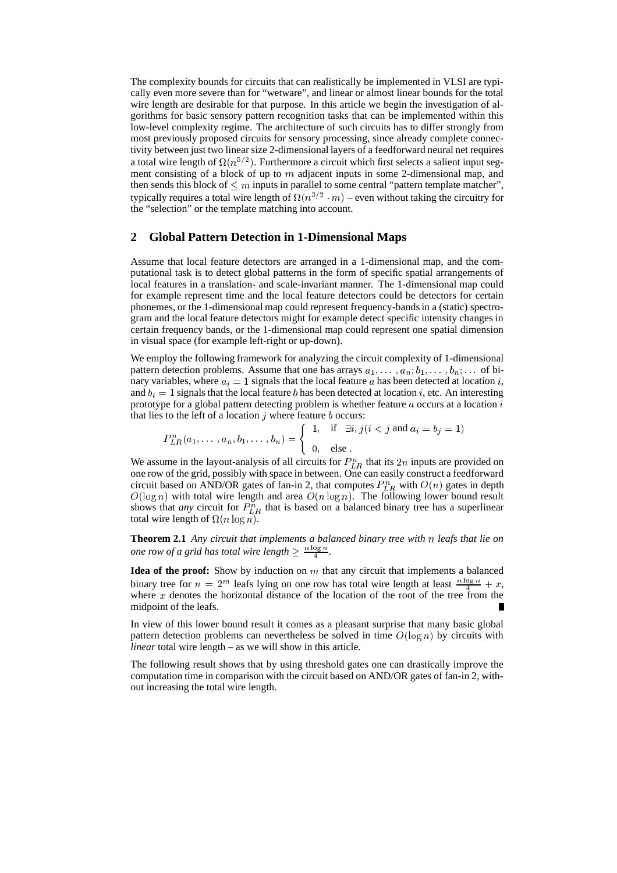The complexity bounds for circuits that can realistically be implemented in VLSI are typically even more severe than for "wetware", and linear or almost linear bounds for the total wire length are desirable for that purpose. In this article we begin the investigation of algorithms for basic sensory pattern recognition tasks that can be implemented within this low-level complexity regime. The architecture of such circuits has to differ strongly from most previously proposed circuits for sensory processing, since already complete connectivity between just two linear size 2-dimensional layers of a feedforward neural net requires a total wire length of  $\Omega(n^{5/2})$ . Furthermore a circuit which first selects a salient input segment consisting of a block of up to  $m$  adjacent inputs in some 2-dimensional map, and then sends this block of  $\leq m$  inputs in parallel to some central "pattern template matcher", typically requires a total wire length of  $\Omega(n^{3/2} \cdot m)$  – even without taking the circuitry for the "selection" or the template matching into account.

## **2 Global Pattern Detection in 1-Dimensional Maps**

Assume that local feature detectors are arranged in a 1-dimensional map, and the computational task is to detect global patterns in the form of specific spatial arrangements of local features in a translation- and scale-invariant manner. The 1-dimensional map could for example represent time and the local feature detectors could be detectors for certain phonemes, or the 1-dimensional map could represent frequency-bandsin a (static) spectrogram and the local feature detectors might for example detect specific intensity changes in certain frequency bands, or the 1-dimensional map could represent one spatial dimension in visual space (for example left-right or up-down).

We employ the following framework for analyzing the circuit complexity of 1-dimensional pattern detection problems. Assume that one has arrays  $a_1, \ldots, a_n, b_1, \ldots, b_n, \ldots$  of binary variables, where  $a_i = 1$  signals that the local feature a has been detected at location i, and  $b_i = 1$  signals that the local feature *b* has been detected at location *i*, etc. An interesting prototype for a global pattern detecting problem is whether feature  $a$  occurs at a location  $i$ that lies to the left of a location  $j$  where feature  $b$  occurs:

$$
P_{LR}^n(a_1,\ldots,a_n,b_1,\ldots,b_n) = \begin{cases} 1, & \text{if } \exists i,j \, (i < j \text{ and } a_i = b_j = 1) \\ 0, & \text{else } \end{cases}
$$

We assume in the layout-analysis of all circuits for  $P_{LR}^n$  that its  $2n$  inputs are provided on one row of the grid, possibly with space in between. One can easily construct a feedforward circuit based on AND/OR gates of fan-in 2, that computes  $P_{LR}^n$  with  $O(n)$  gates in depth  $O(\log n)$  with total wire length and area  $O(n \log n)$ . The following lower bound result shows that *any* circuit for  $P_{LR}^n$  that is based on a balanced binary tree has a superlinear total wire length of  $\Omega(n \log n)$ .

**Theorem 2.1** *Any circuit that implements a balanced binary tree with* - *leafs that lie on one row of a grid has total* wire *length*  $\geq \frac{n \log n}{4}$ .

**Idea of the proof:** Show by induction on  $m$  that any circuit that implements a balanced binary tree for  $n = 2^m$  leafs lying on one row has total wire length at least  $\frac{n \log n}{\delta} + x$ , where  $x$  denotes the horizontal distance of the location of the root of the tree from the midpoint of the leafs.

In view of this lower bound result it comes as a pleasant surprise that many basic global pattern detection problems can nevertheless be solved in time  $O(\log n)$  by circuits with *linear* total wire length – as we will show in this article.

The following result shows that by using threshold gates one can drastically improve the computation time in comparison with the circuit based on AND/OR gates of fan-in 2, without increasing the total wire length.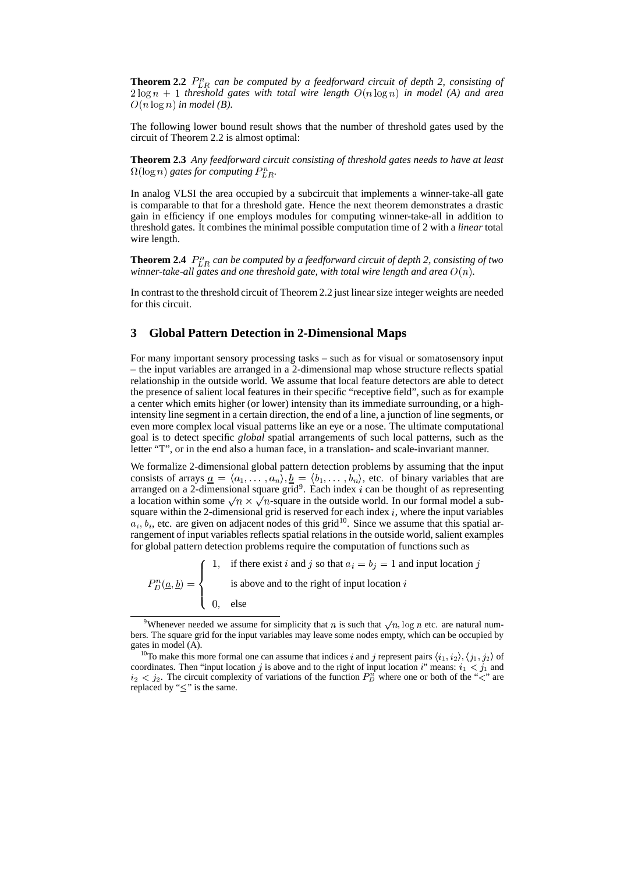**Theorem 2.2**  $P_{LR}^n$  *can be computed by a feedforward circuit of depth 2, consisting of*  $2 \log n + 1$  *threshold* gates with total wire length  $O(n \log n)$  in model (A) and area  $O(n \log n)$  in model (B).

The following lower bound result shows that the number of threshold gates used by the circuit of Theorem 2.2 is almost optimal:

**Theorem 2.3** *Any feedforward circuit consisting of threshold gates needs to have at least*  $\Omega(\log n)$  gates for computing  $P_{LR}^n$ .

In analog VLSI the area occupied by a subcircuit that implements a winner-take-all gate is comparable to that for a threshold gate. Hence the next theorem demonstrates a drastic gain in efficiency if one employs modules for computing winner-take-all in addition to threshold gates. It combines the minimal possible computation time of 2 with a *linear* total wire length.

**Theorem 2.4**  $P_{LR}^n$  can be computed by a feedforward circuit of depth 2, consisting of two *winner-take-all gates and one threshold gate, with total wire length and area*  $O(n)$ *.* 

In contrast to the threshold circuit of Theorem 2.2 just linearsize integer weights are needed for this circuit.

# **3 Global Pattern Detection in 2-Dimensional Maps**

For many important sensory processing tasks – such as for visual or somatosensory input – the input variables are arranged in a 2-dimensional map whose structure reflects spatial relationship in the outside world. We assume that local feature detectors are able to detect the presence of salient local features in their specific "receptive field", such as for example a center which emits higher (or lower) intensity than its immediate surrounding, or a highintensity line segment in a certain direction, the end of a line, a junction of line segments, or even more complex local visual patterns like an eye or a nose. The ultimate computational goal is to detect specific *global* spatial arrangements of such local patterns, such as the letter "T", or in the end also a human face, in a translation- and scale-invariant manner.

We formalize 2-dimensional global pattern detection problems by assuming that the input consists of arrays  $\underline{a} = \langle a_1, \ldots, a_n \rangle, \underline{b} = \langle b_1, \ldots, b_n \rangle$ , etc. of binary variables that are arranged on a 2-dimensional square grid<sup>9</sup>. Each index  $i$  can be thought of as representing a location within some  $\sqrt{n} \times \sqrt{n}$ -square in the outside world. In our formal model a subsquare within the 2-dimensional grid is reserved for each index  $i$ , where the input variables  $a_i, b_i$ , etc. are given on adjacent nodes of this grid<sup>10</sup>. Since we assume that this spatial arrangement of input variables reflects spatial relations in the outside world, salient examples for global pattern detection problems require the computation of functions such as

 $P_D^n(a, b) = \{$  is a  $\epsilon$ and the contract of the contract of the contract of the contract of the contract of the contract of the contract of **Contract Contract** 1, if there exist i and j so that  $a_i = b_j = 1$  and input location j is above and to the right of input location  $i$ 0, else

<sup>&</sup>lt;sup>9</sup>Whenever needed we assume for simplicity that *n* is such that  $\sqrt{n}$ , log *n* etc. are natural numbers. The square grid for the input variables may leave some nodes empty, which can be occupied by gates in model (A).

<sup>&</sup>lt;sup>10</sup>To make this more formal one can assume that indices i and j represent pairs  $\langle i_1, i_2 \rangle$ ,  $\langle j_1, j_2 \rangle$  of coordinates. Then "input location j is above and to the right of input location  $i$ " means:  $i_1 < j_1$  and  $i_2 < j_2$ . The circuit complexity of variations of the function  $P_D^n$  where one or both of the " $\lt$ " are replaced by " $\leq$ " is the same.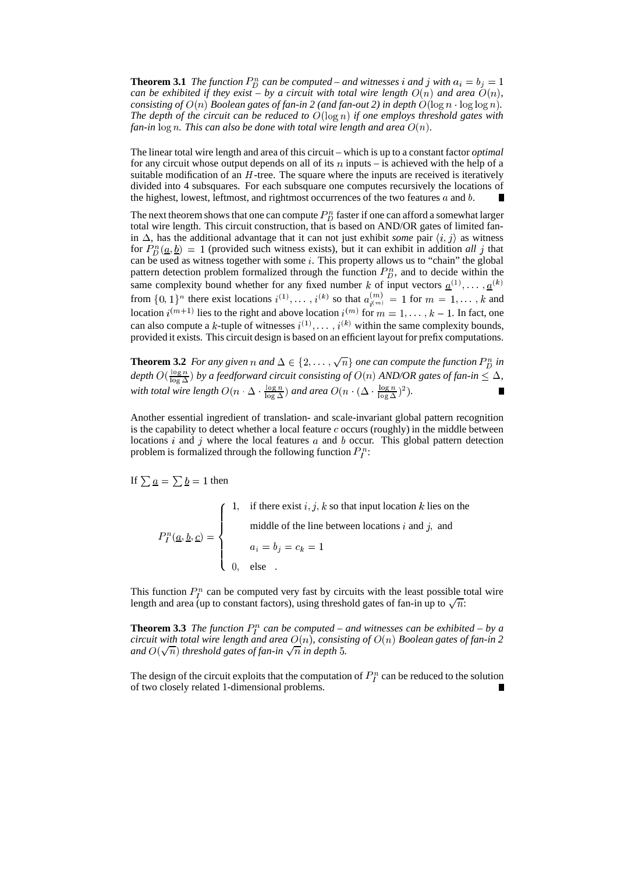**Theorem 3.1** *The function*  $P_D^n$  *can be computed* – *and* witnesses *i and j* with  $a_i = b_j = 1$ *can be exhibited if they exist* – *by a circuit with total wire length*  $O(n)$  *and area*  $O(n)$ ,  $consisting\ of\ O(n) \ Boolean\ gates\ of\ fan-in\ 2\ (and\ fan-out\ 2)\ in\ depth\ O(\log n\cdot\log\log n).$ *The depth of the circuit can be reduced to*  $O(\log n)$  *if one employs threshold gates with*  $f$ an-in  $\log n$ . This can also be done with total wire length and area  $O(n)$ .

The linear total wire length and area of this circuit – which is up to a constant factor *optimal* for any circuit whose output depends on all of its  $n$  inputs – is achieved with the help of a suitable modification of an  $H$ -tree. The square where the inputs are received is iteratively divided into 4 subsquares. For each subsquare one computes recursively the locations of the highest, lowest, leftmost, and rightmost occurrences of the two features  $a$  and  $b$ .

The next theorem shows that one can compute  $P_D^n$  faster if one can afford a somewhat larger total wire length. This circuit construction, that is based on AND/OR gates of limited fanin  $\Delta$ , has the additional advantage that it can not just exhibit *some* pair  $\langle i, j \rangle$  as witness for  $P_D^n(\underline{a}, \underline{b}) = 1$  (provided such witness exists), but it can exhibit in addition *all* j that can be used as witness together with some  $i$ . This property allows us to "chain" the global pattern detection problem formalized through the function  $P_D^n$ , and to decide within the same complexity bound whether for any fixed number k of input vectors  $\underline{\alpha}^{(1)}, \dots, \underline{\alpha}^{(k)}$ from  $\{0,1\}^n$  there exist locations  $i^{(1)}, \ldots, i^{(k)}$  so that  $a_{i(m)}^{(m)} = 1$  for a  $\binom{m}{i(m)} = 1$  for  $m = 1, ..., k$  and location  $i^{(m+1)}$  lies to the right and above location  $i^{(m)}$  for  $m = 1, \ldots, k - 1$ . In fact, one can also compute a k-tuple of witnesses  $i^{(1)}, \ldots, i^{(k)}$  within the same complexity bounds, provided it exists. This circuit design is based on an efficient layout for prefix computations.

**Theorem 3.2** For any given n and  $\Delta \in \{2, ..., \sqrt{n}\}$  one can compute the function  $P_D^n$  in *depth*  $O(\frac{\log n}{\log \Lambda})$  by a feedforward circuit consisting of  $O(n)$  AND/OR gates of fan-in  $\leq \Delta$ , with *total* wire length  $O(n \cdot \Delta \cdot \frac{\log n}{\log \Delta})$  and area  $O(n \cdot (\Delta \cdot \frac{\log n}{\log \Delta})^2)$ .

Another essential ingredient of translation- and scale-invariant global pattern recognition is the capability to detect whether a local feature  $c$  occurs (roughly) in the middle between locations  $i$  and  $j$  where the local features  $a$  and  $b$  occur. This global pattern detection problem is formalized through the following function  $P_l^n$ :

If  $\sum \underline{a} = \sum \underline{b} = 1$  then

 $P_l^n(a, b, c) = \langle$  $\mathcal{L}$ and the contract of the contract of the contract of the contract of the contract of the contract of the contract of  $\mathbb{R}^n$ 1, if there exist  $i, j, k$  so that input location  $k$  lies on the middle of the line between locations  $i$  and  $j$ , and !354 ! !  $0,$  else

This function  $P_I^n$  can be computed very fast by circuits with the least possible total wire length and area (up to constant factors), using threshold gates of fan-in up to  $\sqrt{n}$ :

**Theorem 3.3** *The function*  $P_l^n$  *can be computed* – *and witnesses can be exhibited* – *by a*  $c$ ircuit with total wire length and area  $O(n)$ ,  $consisting$  of  $O(n)$  Boolean gates of fan-in 2  $\overline{\phantom{a}}$ and  $O(\sqrt{n})$  threshold gates of fan-in  $\sqrt{n}$  in depth 5.

The design of the circuit exploits that the computation of  $P_I^n$  can be reduced to the solution of two closely related 1-dimensional problems.